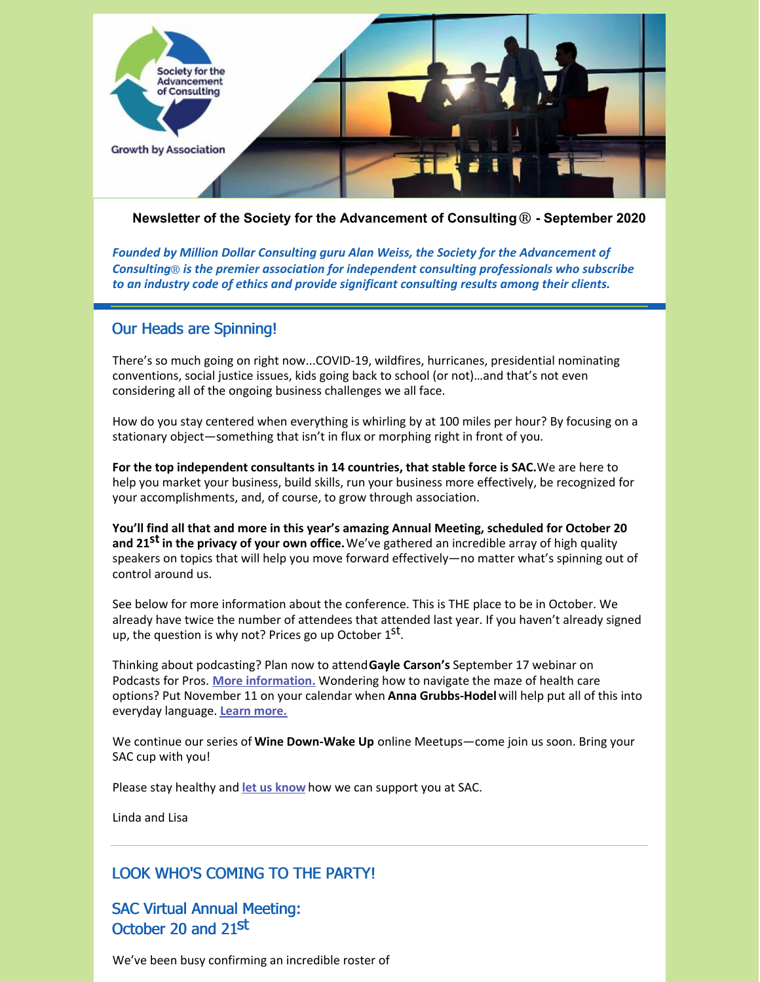

**Newsletter of the Society for the Advancement of Consulting**® **- September 2020**

*Founded by Million Dollar Consulting guru Alan Weiss, the Society for the Advancement of Consulting*® *is the premier association for independent consulting professionals who subscribe to an industry code of ethics and provide significant consulting results among their clients.*

### Our Heads are Spinning!

There's so much going on right now...COVID-19, wildfires, hurricanes, presidential nominating conventions, social justice issues, kids going back to school (or not)…and that's not even considering all of the ongoing business challenges we all face.

How do you stay centered when everything is whirling by at 100 miles per hour? By focusing on a stationary object—something that isn't in flux or morphing right in front of you.

**For the top independent consultants in 14 countries, that stable force is SAC.**We are here to help you market your business, build skills, run your business more effectively, be recognized for your accomplishments, and, of course, to grow through association.

**You'll find all that and more in this year's amazing Annual Meeting, scheduled for October 20 and 21 st in the privacy of your own office.**We've gathered an incredible array of high quality speakers on topics that will help you move forward effectively—no matter what's spinning out of control around us.

See below for more information about the conference. This is THE place to be in October. We already have twice the number of attendees that attended last year. If you haven't already signed up, the question is why not? Prices go up October 1<sup>st</sup>.

Thinking about podcasting? Plan now to attend**Gayle Carson's** September 17 webinar on Podcasts for Pros. **More [information.](https://consultingsociety.com/programs-events/best-practices-webinars/#carson-0920)** Wondering how to navigate the maze of health care options? Put November 11 on your calendar when **Anna Grubbs-Hodel**will help put all of this into everyday language. **Learn [more.](https://consultingsociety.com/programs-events/practicum-webinars/#grubbs-hodel-1120)**

We continue our series of **Wine Down-Wake Up** online Meetups—come join us soon. Bring your SAC cup with you!

Please stay healthy and **let us [know](mailto:info@consultingsociety.com)** how we can support you at SAC.

Linda and Lisa

### LOOK WHO'S COMING TO THE PARTY!

SAC Virtual Annual Meeting: October 20 and 21st

We've been busy confirming an incredible roster of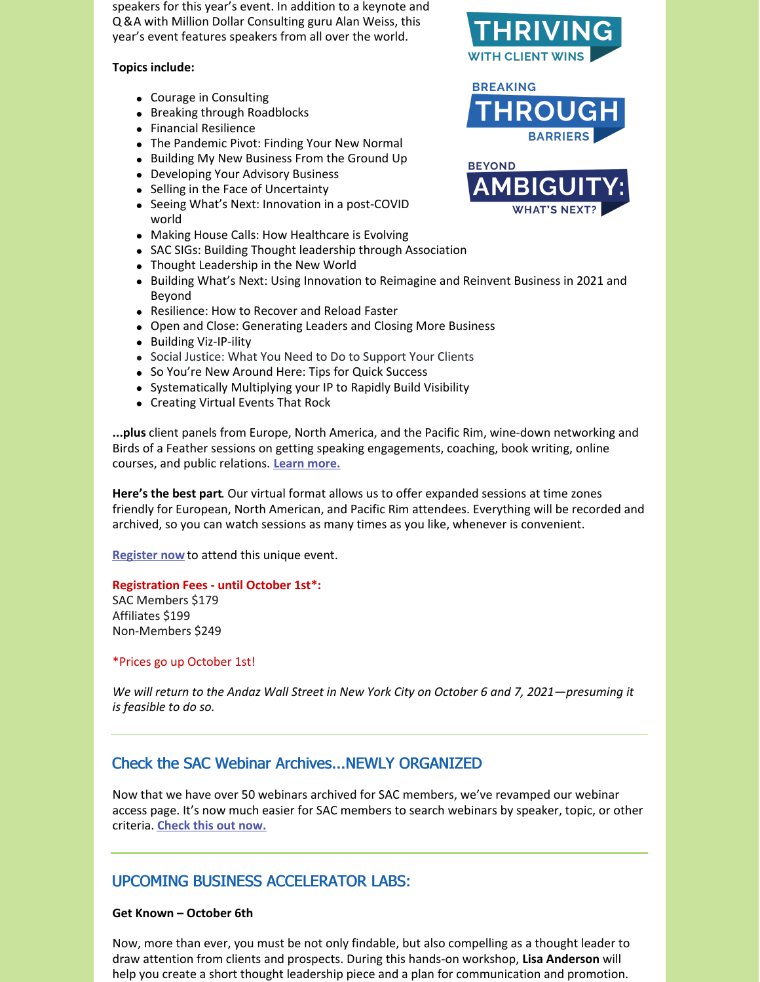speakers for this year's event. In addition to a keynote and Q &A with Million Dollar Consulting guru Alan Weiss, this year's event features speakers from all over the world.

#### **Topics include:**

- Courage in Consulting
- Breaking through Roadblocks
- Financial Resilience
- The Pandemic Pivot: Finding Your New Normal
- Building My New Business From the Ground Up
- Developing Your Advisory Business
- Selling in the Face of Uncertainty
- Seeing What's Next: Innovation in a post-COVID world
- Making House Calls: How Healthcare is Evolving
- SAC SIGs: Building Thought leadership through Association
- Thought Leadership in the New World
- **Building What's Next: Using Innovation to Reimagine and Reinvent Business in 2021 and** Beyond
- Resilience: How to Recover and Reload Faster
- Open and Close: Generating Leaders and Closing More Business
- Building Viz-IP-ility
- Social Justice: What You Need to Do to Support Your Clients
- So You're New Around Here: Tips for Quick Success
- Systematically Multiplying your IP to Rapidly Build Visibility
- Creating Virtual Events That Rock

**...plus** client panels from Europe, North America, and the Pacific Rim, wine-down networking and Birds of a Feather sessions on getting speaking engagements, coaching, book writing, online courses, and public relations. **Learn [more.](https://consultingsociety.com/2020-sac-annual-meeting-october-20-21-2020)**

**Here's the best part**. Our virtual format allows us to offer expanded sessions at time zones friendly for European, North American, and Pacific Rim attendees. Everything will be recorded and archived, so you can watch sessions as many times as you like, whenever is convenient.

**[Register](https://consultingsociety.com/10-20-21-2020-annual-meeting-registration/) now** to attend this unique event.

#### **Registration Fees - until October 1st\*:**

SAC Members \$179 Affiliates \$199 Non-Members \$249

#### \*Prices go up October 1st!

We will return to the Andaz Wall Street in New York City on October 6 and 7, 2021–presuming it *is feasible to do so.*

# Check the SAC Webinar Archives...NEWLY ORGANIZED

Now that we have over 50 webinars archived for SAC members, we've revamped our webinar access page. It's now much easier for SAC members to search webinars by speaker, topic, or other criteria. **[Check](https://consultingsociety.com/member-resources/webinars/) this out now.**

# UPCOMING BUSINESS ACCELERATOR LABS:

#### **Get Known – October 6th**

Now, more than ever, you must be not only findable, but also compelling as a thought leader to draw attention from clients and prospects. During this hands-on workshop, **Lisa Anderson** will help you create a short thought leadership piece and a plan for communication and promotion.



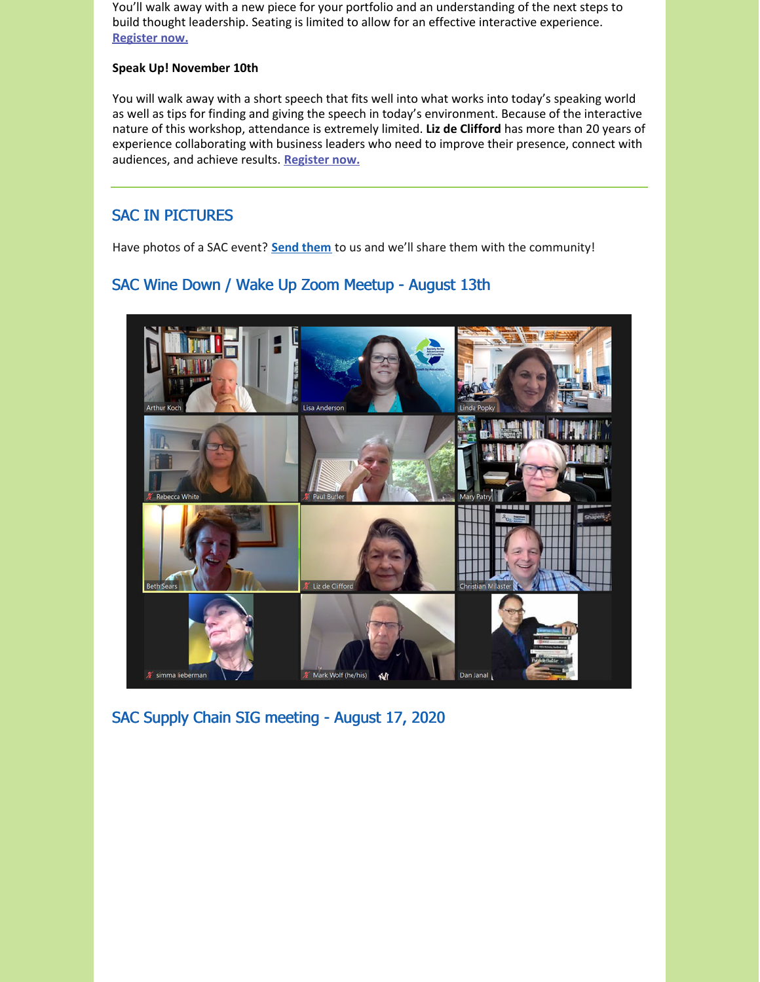You'll walk away with a new piece for your portfolio and an understanding of the next steps to build thought leadership. Seating is limited to allow for an effective interactive experience. **[Register](https://consultingsociety.com/programs-events/business-accelerator-labs/#anderson-1020) now.**

### **Speak Up! November 10th**

You will walk away with a short speech that fits well into what works into today's speaking world as well as tips for finding and giving the speech in today's environment. Because of the interactive nature of this workshop, attendance is extremely limited. **Liz de Clifford** has more than 20 years of experience collaborating with business leaders who need to improve their presence, connect with audiences, and achieve results. **[Register](https://consultingsociety.com/programs-events/business-accelerator-labs/#declifford-1120) now.**

# SAC IN PICTURES

Have photos of a SAC event? **Send [them](mailto:info@consultingsociety.com)** to us and we'll share them with the community!

# SAC Wine Down / Wake Up Zoom Meetup - August 13th



SAC Supply Chain SIG meeting - August 17, 2020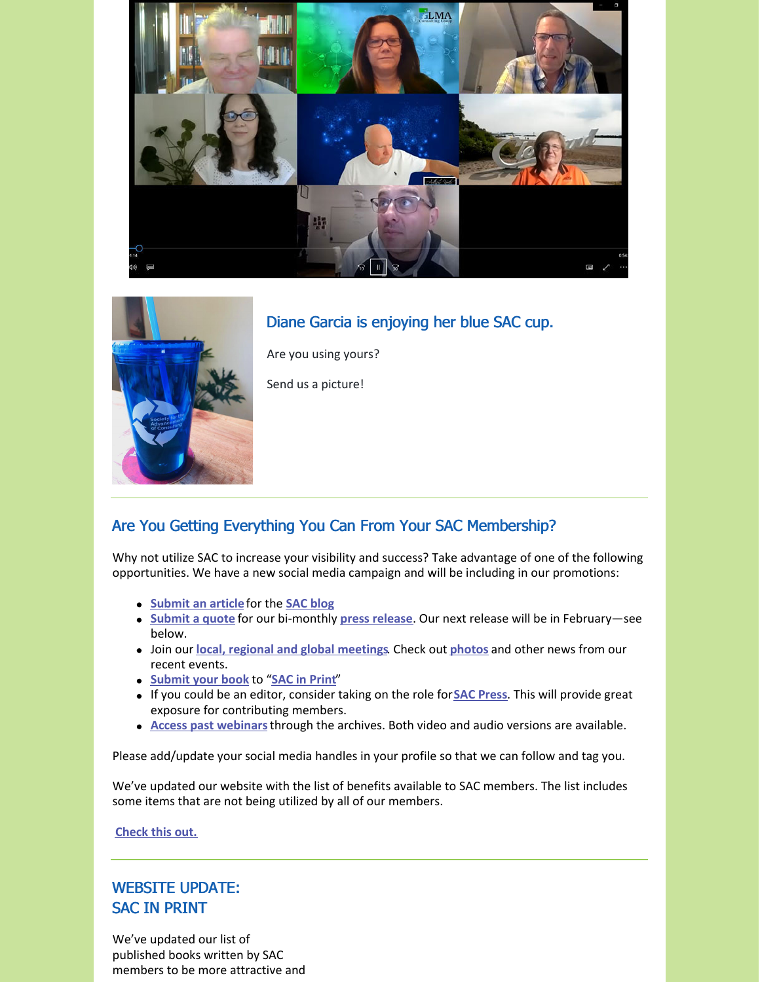

# Diane Garcia is enjoying her blue SAC cup.



Are you using yours?

Send us a picture!

# Are You Getting Everything You Can From Your SAC Membership?

Why not utilize SAC to increase your visibility and success? Take advantage of one of the following opportunities. We have a new social media campaign and will be including in our promotions:

- **[Submit](https://consultingsociety.com/member-resources/) an article** for the **SAC [blog](https://consultingsociety.com/category/member-articles/)**
- **[Submit](https://consultingsociety.com/member-resources/press-release-contribution/) a quote** for our bi-monthly **press [release](https://consultingsociety.com/resources/press-releases/)**. Our next release will be in February—see below.
- Join our **local, regional and global [meetings](https://consultingsociety.com/programs-events/regional-meetings/)**. Check out **[photos](https://consultingsociety.com/resources/in-the-news/)** and other news from our recent events.
- **[Submit](https://consultingsociety.com/member-resources/sac-in-print/) your book** to "**SAC in [Print](https://consultingsociety.com/resources/books-by-our-members/)**"
- If you could be an editor, consider taking on the role for**SAC [Press](https://consultingsociety.com/resources/sac-press/)**. This will provide great exposure for contributing members.
- **Access past [webinars](https://consultingsociety.com/member-resources/webinars/)**through the archives. Both video and audio versions are available.

Please add/update your social media handles in your profile so that we can follow and tag you.

We've updated our website with the list of benefits available to SAC members. The list includes some items that are not being utilized by all of our members.

**[Check](https://consultingsociety.com/membership/what-membership-means/) this out.**

# WEBSITE UPDATE: SAC IN PRINT

We've updated our list of published books written by SAC members to be more attractive and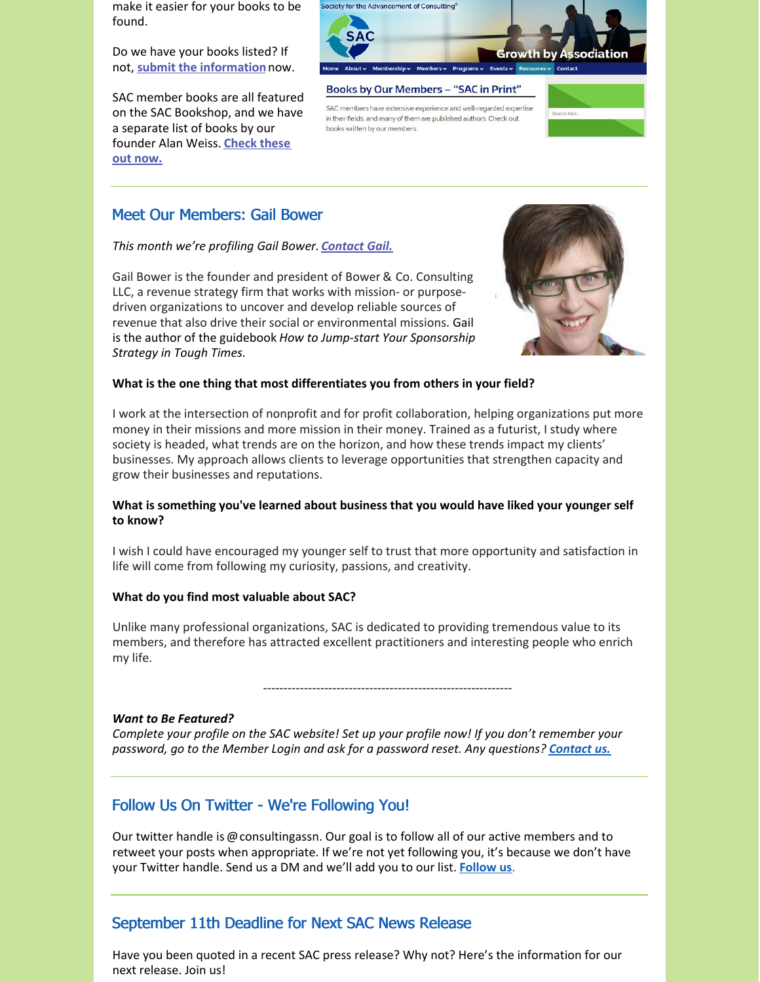make it easier for your books to be found.

Do we have your books listed? If not, **submit the [information](https://consultingsociety.com/sac-in-print/)**now.

SAC member books are all featured on the SAC Bookshop, and we have a separate list of books by our [founder](https://bookshop.org/shop/consultingsociety) Alan Weiss. **Check these out now.**



SAC members have extensive experience and well-regarded expertise in their fields, and many of them are published authors. Check out books written by our members.



# Meet Our Members: Gail Bower

### *This month we're profiling Gail Bower. [Contact](https://consultingsociety.com/user/gailbower/) Gail.*

Gail Bower is the founder and president of Bower & Co. Consulting LLC, a revenue strategy firm that works with mission- or purposedriven organizations to uncover and develop reliable sources of revenue that also drive their social or environmental missions. Gail is the author of the guidebook *How to Jump-start Your Sponsorship Strategy in Tough Times*.



### **What is the one thing that most differentiates you from others in your field?**

I work at the intersection of nonprofit and for profit collaboration, helping organizations put more money in their missions and more mission in their money. Trained as a futurist, I study where society is headed, what trends are on the horizon, and how these trends impact my clients' businesses. My approach allows clients to leverage opportunities that strengthen capacity and grow their businesses and reputations.

### **What is something you've learned about business that you would have liked your younger self to know?**

I wish I could have encouraged my younger self to trust that more opportunity and satisfaction in life will come from following my curiosity, passions, and creativity.

#### **What do you find most valuable about SAC?**

Unlike many professional organizations, SAC is dedicated to providing tremendous value to its members, and therefore has attracted excellent practitioners and interesting people who enrich my life.

-------------------------------------------------------------

#### *Want to Be Featured?*

*Complete your profile on the SAC website! Set up your profile now! If you don't remember your password, go to the Member Login and ask for a password reset. Any questions? [Contact](mailto:info@consultingsociety.com) us.*

# Follow Us On Twitter - We're Following You!

Our twitter handle is @consultingassn. Our goal is to follow all of our active members and to retweet your posts when appropriate. If we're not yet following you, it's because we don't have your Twitter handle. Send us a DM and we'll add you to our list. **[Follow](https://twitter.com/ConsultingAssn) us**.

# September 11th Deadline for Next SAC News Release

Have you been quoted in a recent SAC press release? Why not? Here's the information for our next release. Join us!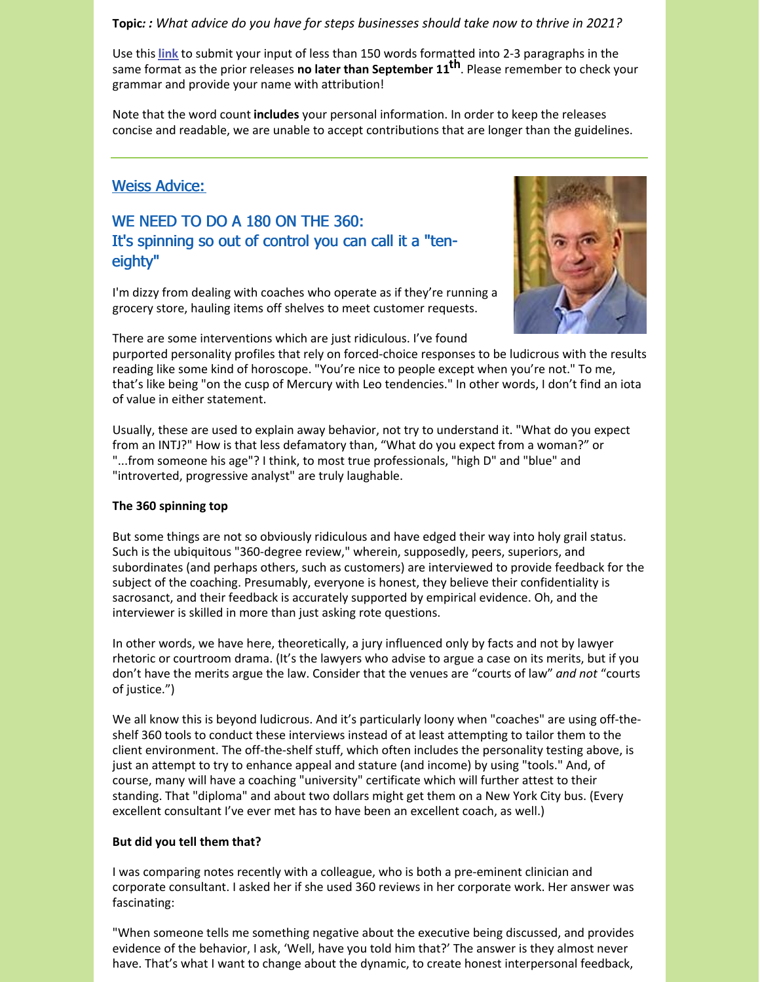### **Topic***: : What advice do you have for steps businesses should take now to thrive in 2021?*

Use this **[link](https://consultingsociety.com/press-release-contribution/)** to submit your input of less than 150 words formatted into 2-3 paragraphs in the same format as the prior releases **no later than September 11 th**. Please remember to check your grammar and provide your name with attribution!

Note that the word count **includes** your personal information. In order to keep the releases concise and readable, we are unable to accept contributions that are longer than the guidelines.

## Weiss Advice:

# WE NEED TO DO A 180 ON THE 360: It's spinning so out of control you can call it a "teneighty"

I'm dizzy from dealing with coaches who operate as if they're running a grocery store, hauling items off shelves to meet customer requests.



There are some interventions which are just ridiculous. I've found

purported personality profiles that rely on forced-choice responses to be ludicrous with the results reading like some kind of horoscope. "You're nice to people except when you're not." To me, that's like being "on the cusp of Mercury with Leo tendencies." In other words, I don't find an iota of value in either statement.

Usually, these are used to explain away behavior, not try to understand it. "What do you expect from an INTJ?" How is that less defamatory than, "What do you expect from a woman?" or "...from someone his age"? I think, to most true professionals, "high D" and "blue" and "introverted, progressive analyst" are truly laughable.

### **The 360 spinning top**

But some things are not so obviously ridiculous and have edged their way into holy grail status. Such is the ubiquitous "360-degree review," wherein, supposedly, peers, superiors, and subordinates (and perhaps others, such as customers) are interviewed to provide feedback for the subject of the coaching. Presumably, everyone is honest, they believe their confidentiality is sacrosanct, and their feedback is accurately supported by empirical evidence. Oh, and the interviewer is skilled in more than just asking rote questions.

In other words, we have here, theoretically, a jury influenced only by facts and not by lawyer rhetoric or courtroom drama. (It's the lawyers who advise to argue a case on its merits, but if you don't have the merits argue the law. Consider that the venues are "courts of law" *and not* "courts of justice.")

We all know this is beyond ludicrous. And it's particularly loony when "coaches" are using off-theshelf 360 tools to conduct these interviews instead of at least attempting to tailor them to the client environment. The off-the-shelf stuff, which often includes the personality testing above, is just an attempt to try to enhance appeal and stature (and income) by using "tools." And, of course, many will have a coaching "university" certificate which will further attest to their standing. That "diploma" and about two dollars might get them on a New York City bus. (Every excellent consultant I've ever met has to have been an excellent coach, as well.)

### **But did you tell them that?**

I was comparing notes recently with a colleague, who is both a pre-eminent clinician and corporate consultant. I asked her if she used 360 reviews in her corporate work. Her answer was fascinating:

"When someone tells me something negative about the executive being discussed, and provides evidence of the behavior, I ask, 'Well, have you told him that?' The answer is they almost never have. That's what I want to change about the dynamic, to create honest interpersonal feedback,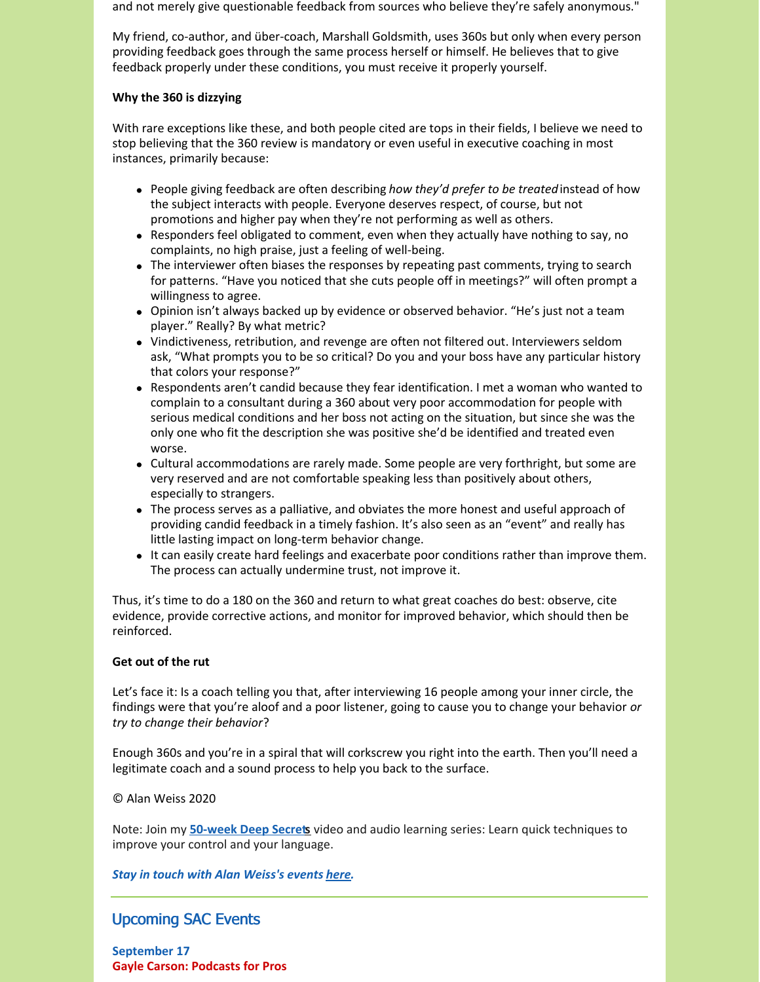and not merely give questionable feedback from sources who believe they're safely anonymous."

My friend, co-author, and über-coach, Marshall Goldsmith, uses 360s but only when every person providing feedback goes through the same process herself or himself. He believes that to give feedback properly under these conditions, you must receive it properly yourself.

### **Why the 360 is dizzying**

With rare exceptions like these, and both people cited are tops in their fields, I believe we need to stop believing that the 360 review is mandatory or even useful in executive coaching in most instances, primarily because:

- People giving feedback are often describing *how they'd prefer to be treated*instead of how the subject interacts with people. Everyone deserves respect, of course, but not promotions and higher pay when they're not performing as well as others.
- Responders feel obligated to comment, even when they actually have nothing to say, no complaints, no high praise, just a feeling of well-being.
- The interviewer often biases the responses by repeating past comments, trying to search for patterns. "Have you noticed that she cuts people off in meetings?" will often prompt a willingness to agree.
- Opinion isn't always backed up by evidence or observed behavior. "He's just not a team player." Really? By what metric?
- Vindictiveness, retribution, and revenge are often not filtered out. Interviewers seldom ask, "What prompts you to be so critical? Do you and your boss have any particular history that colors your response?"
- Respondents aren't candid because they fear identification. I met a woman who wanted to complain to a consultant during a 360 about very poor accommodation for people with serious medical conditions and her boss not acting on the situation, but since she was the only one who fit the description she was positive she'd be identified and treated even worse.
- Cultural accommodations are rarely made. Some people are very forthright, but some are very reserved and are not comfortable speaking less than positively about others, especially to strangers.
- The process serves as a palliative, and obviates the more honest and useful approach of providing candid feedback in a timely fashion. It's also seen as an "event" and really has little lasting impact on long-term behavior change.
- It can easily create hard feelings and exacerbate poor conditions rather than improve them. The process can actually undermine trust, not improve it.

Thus, it's time to do a 180 on the 360 and return to what great coaches do best: observe, cite evidence, provide corrective actions, and monitor for improved behavior, which should then be reinforced.

### **Get out of the rut**

Let's face it: Is a coach telling you that, after interviewing 16 people among your inner circle, the findings were that you're aloof and a poor listener, going to cause you to change your behavior *or try to change their behavior*?

Enough 360s and you're in a spiral that will corkscrew you right into the earth. Then you'll need a legitimate coach and a sound process to help you back to the surface.

#### © Alan Weiss 2020

Note: Join my **[50-week](https://alanweiss.com/growth-experiences/deep-secrets/) Deep Secre[ts](https://alanweiss.com/growth-experiences/deep-secrets/)** video and audio learning series: Learn quick techniques to improve your control and your language.

### *Stay in touch with Alan Weiss's events [here](https://www.alanweiss.com/growth-experiences/).*

# Upcoming SAC Events

**September 17 Gayle Carson: Podcasts for Pros**